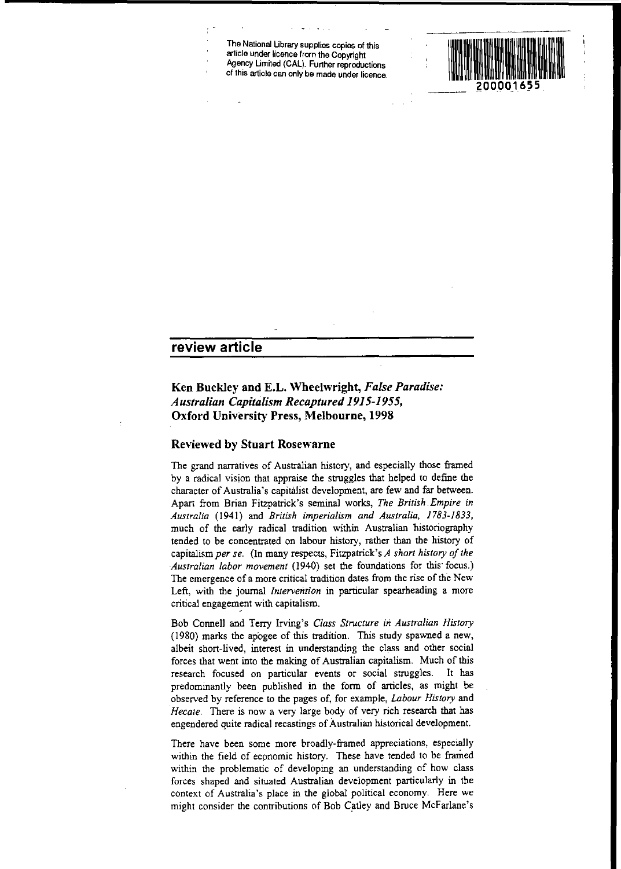**The National Ubrary supplies copies of this article under licence from the Copyright** Agency Limited (CAL). Further reproductions **of this article can only be made under licence.**

# **review article**

# **Ken Buckley and E.L. Wheelwright,** *False Paradise: Australian Capitalism Recaptured 1915-1955,* **Oxford University Press, Melbourne, 1998**

## **Reviewed by Stuart Rosewarne**

The grand narratives of Australian history, and especially those framed by a radical vision that appraise the struggles that helped to defme the character of Australia's capitalist development, are few and far between. Apart from Brian Fitzpatrick's seminal works, *The British Empire* in *Australia* (1941) and *British imperialism and Australia, 1783-1833,* much of the early radical tradition within Australian historiography tended to be concentrated on labour history, rather than the history of capitalism *per se.* (In many respects, Fitzpatrick's *A short history of the Australian labor movement* (1940) set the foundations for this' focus.) The emergence of a more critical tradition dates from the rise of the New Left, with the journal *Intervention* in panicular spearheading a more critical engagement with capitalism.

Bob Connell and Terry lrving's *Class Structure in Australian History* (1980) marks the apogee of this tradition. This study spawned a new, albeit short-lived, interest in understanding the class and other social forces that went into **the** making of Australian capitalism. Much of this research focused on panicular events or social struggles. It has predominantly been published in the form of articles, as might be observed by reference to the pages of, for example, *Labour History* and Hecate. There is now a very large body of very rich research that has engendered quite radical recastings of Australian historical development.

There have been some more broadly-framed appreciations, especially within the field of economic history. These have tended to be framed within the problematic of developing an understanding of how class forces shaped and situated Australian development panicularly in the context of Australia's place in the global political economy. Here we might consider the contributions of Bob Catley and Brnce McFarlane's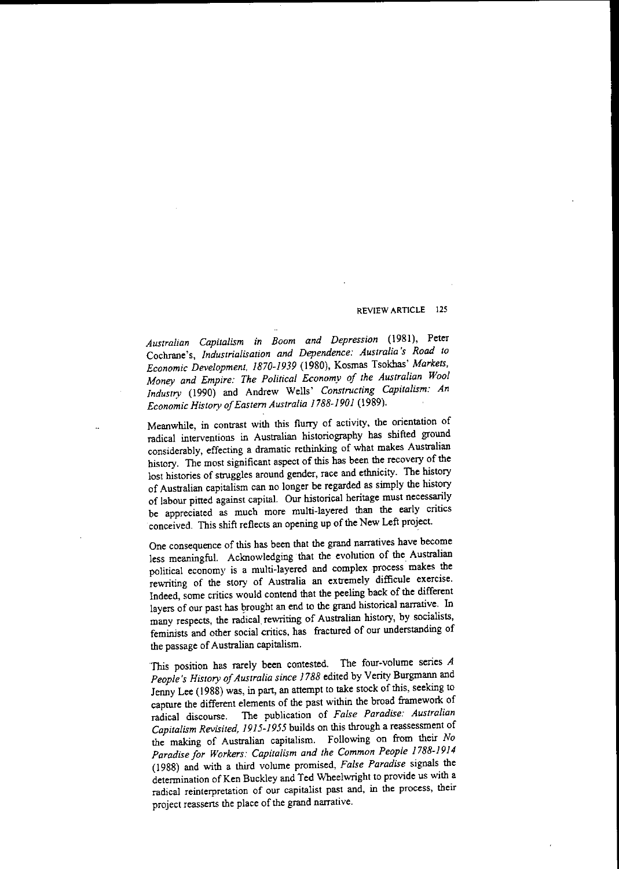*Australian Capitalism in Boom and Depression* (1981), Peter Cochrane's, *Industrialisation and Dependence: Australia's Road to Economic Development, 1870-1939* (1980), Kosmas Tsokhas' *Markets, Money and Empire: The Political Economy of the Australian Wool Industry* (1990) and Andrew Wells' *Constructing Capitalism: An Economic History ofEastern Australia 1788-1901 (1989).*

Meanwhile, in contrast with this fluny of activity, the orientation of radical interventions in Australian historiography has shifted ground considerably, effecting a dramatic rethinking of what makes Australian history. The most significant aspect of this has been the recovery of the lost histories of struggles around gender, race and ethnicity. The history of Australian capitalism *can* no longer be regarded as simply the history of labour pitted against capital. Our historical heritage must necessarily be appreciated as much more multi-layered than the early critics conceived. This shift reflects an opening up of the New Left project.

One consequence of this has been that the grand narratives have become less meaningful. Acknowledging that the evolution of the. Australian political economy is a multi-layered and complex process makes the rewriting of the story of Australia an extremely difficule exercise. Indeed, some critics would contend that the peeling back of the different layers of our past has brought an end to the grand historical narrative. In many respects, the radical, rewriting of Australian history, by socialists, feminists and other social critics, has fractured of our understanding of the passage of Australian capitalism.

Tbis position has rarely been contested. The four-volume series *A* People's History of Australia since 1788 edited by Verity Burgmann and Jenny Lee (1988) was, in part, an attempt to take stock of this, seeking to capture the different elements of the past within the broad framework of radical discourse. The publication of *False Paradise: Australian Capitalism Revisited, 1915-1955* builds on this through a reassessment of the making of Australian capitalism. Following on from their *No Paradise for Workers: Capitalism and the Common People 1788-1914* (1988) and with a third volume promised, *False Paradise* signals the determination of Ken Buckley and Ted Wheelwright to provide us with a **radical reinterpretation of our capitalist past and, in the process, their** project reasserts the place of the grand narrative.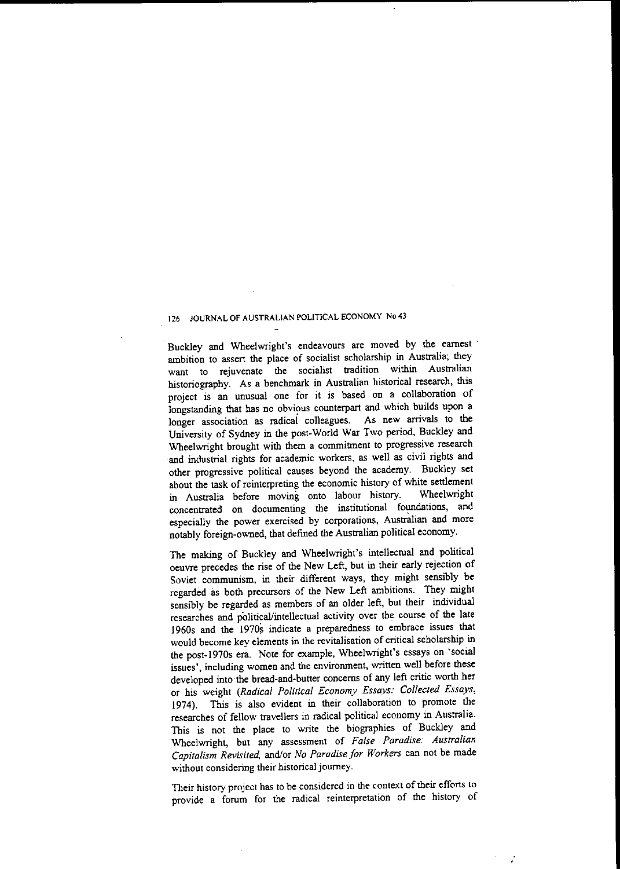Buckley and Wheelwright's endeavours are moved by the earnest ambition to assert the place of socialist scholarship in Australia; they **want to rejuvenate the socialist tradition within Australian** historiography. As a benchmark in Australian historical research, this project is an unusual one for it is based on a collaboration of longstanding that has no obvious counterpart and which builds upon a longer association as radical colleagues. As new arrivals to the University of Sydney in the post-World War Two period, Buckley and Wheelwright brought with them a commitment to progressive research and industrial rights for academic workers, as well as civil rights and other progressive political causes beyond the academy. Buckley set about the task of reinterpreting the economic history of white settlement<br>in Australia before, moving onto labour history. Wheelwright in Australia before moving onto labour history. concentrated on documenting the institutional foundations, and especially the power exercised by corporations, Australian and more notably foreign-owned, that defmed the Australian political economy.

The making of Buckley and Wheelwright's intellectual and political oeuvre precedes the rise of the New Left, but in their early rejection of Soviet communism, in their different ways, they might sensibly be regarded as both precursors of the New Left ambitions. They might sensibly be regarded as members of an older left, but their individual researches and political/intellectual activity over the course of the late 1960s and the 1970s indicate a preparedness to embrace issues that would become key elements in the revitalisation of critical scholarship in the post-1970s era. Note for example, Wheelwright's essays on 'social **issues', including women and the environment, written well before these** developed into the bread-and-butter concerns of any left critic worth her or his weight *(Radical Political Economy Essays: Collected Essays,* 1974). This is also evident in their collaboration to promote the researches of fellow travellers in radical political economy in Australia. This is not the place to write the biographies of Buckley and Wheelwright, but any assessment of *False Paradise: Australian Capitalism Revisited,* and/or *No Paradise for Workers* can not be made without considering their historical journey.

**Their history project has to be considered in the context** oftheir **efforts to** provide a forum for the radical reinterpretation of the history of

ï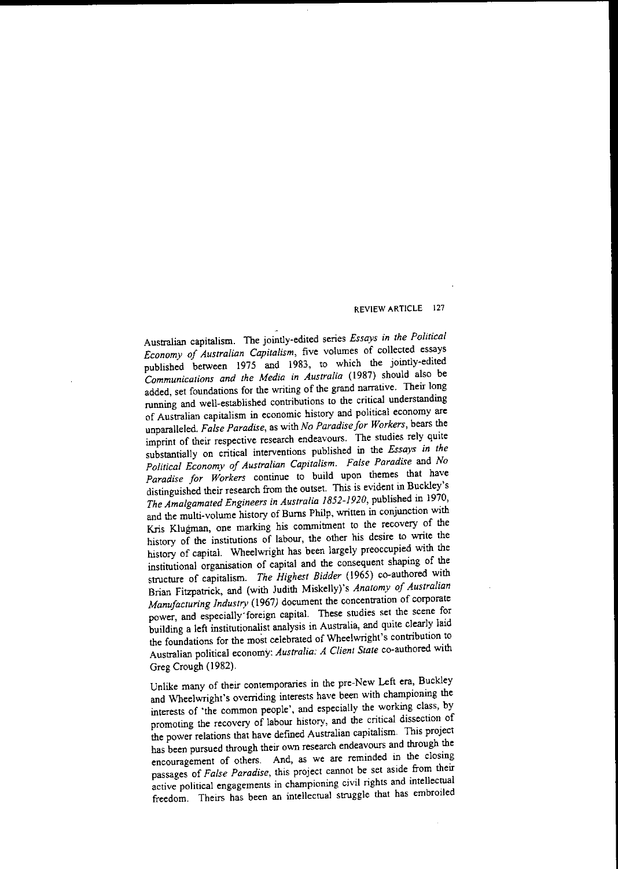Australian capitalism. The jointly-edited series *Essays in the Political Economy of Australian Capitalism,* five volumes of collected essays published between 1975 and 1983, to which the jointly-edited *Communications and the Media in Australia* (1987) should also be added, set foundations for the writing of the grand narrative. Their long running and well-established contributions to the critical understanding of Australian capitalism in economic history and political economy are unparalleled. *False Paradise,* as with *No Paradise for Workers,* bears the imprint of their respective research endeavours. The studies rely quite substantially on critical interventions published in the *Essays in the Political Economy oJ Australian Capitalism. Fa/se Paradise* and *No Paradise for Workers* continue to build upon themes that have distinguished their research from the outset. This is evident in Buckley's *The Amalgamated Engineers in Australia 1852-1920,* published in 1970, and the multi-volume history of Burns Philp, written in conjunction with Kris K1ugman, one marking his commitment to the recovery of the history of the institutions of labour, the other his desire to write the history of capital. Wheelwright has been largely preoccupied with the institutional organisation of capital and the consequent shaping of the structure of capitalism. *The Highest Bidder* (1965) co-authored with Brian Fitzpatrick, and (with Judith Miskelly)'s *Anatomy of Australian Manufacturing Industry* (1967) document the concentration of corporate power, and especially'foreign capital. These studies set the scene for building a left institutionalist analysis in Australia, and quite clearly laid the foundations for the most celebrated of Wheelwright's contribution to Australian political economy: *Australia: A Client State* co-authored with Greg Crough (1982).

Unlike many of their contemporaries in the pre-New Left era, Buckley and Wheelwright's overriding interests have been with championing the interests of 'the common people', and especially the working class, by promoting the recovery of labour history, and the critical dissection of the power relations that have defined Australian capitalism. This project has been pursued through their own research endeavours and through the encouragement of others. And, as we are reminded in the closing passages of *False Paradise,* this project cannot be set aside from their **active political engagements in championing civil rights and intellectual** freedom. Theirs has been an intellectual struggle that has embroiled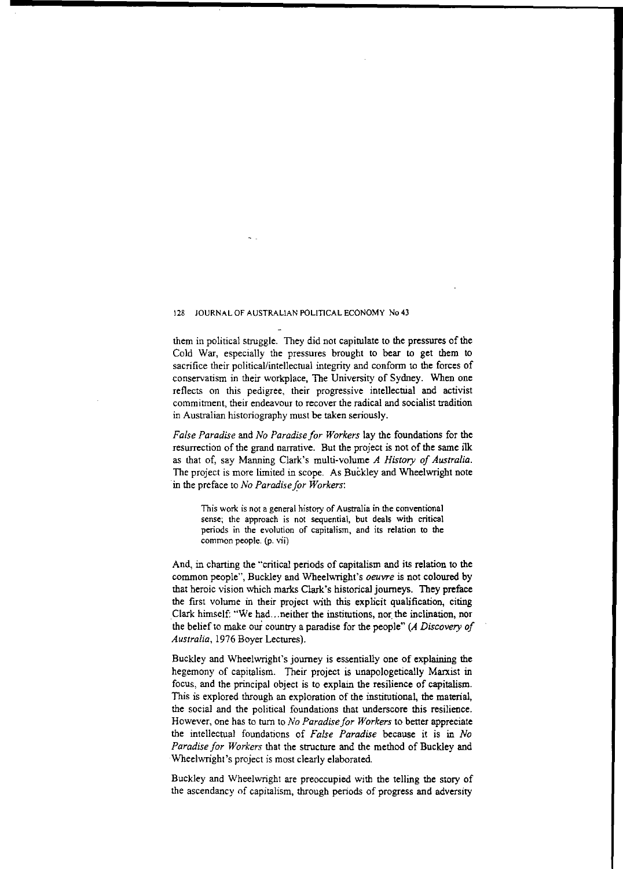them in political struggle. They did not capitulate to the pressures of the Cold War, especially the pressures brought to bear to get them to sacrifice their political/intellectual integrity and conform to the forces of conservatism in their workplace, The University of Sydney. When one reflects on this pedigree, their progressive intellectual and activist **commitment, their endeavour to recover the radical and socialist tradition** in Australian historiography must be taken seriously.

*False Paradise* and *No Paradise for Workers* lay the foundations for the resurrection of the grand narrative. But the project is not of the same ilk as that of, say Manning Clark's multi-volume *A History of Australia.* The project is more limited in scope. As Buckley and Wheelwright note in the preface to *No Paradise for Workers*:

**This work is not a general history of Australia in the conventional sense; the approach is not sequential, but deals with critical periods in the evolution of capitalism, and its relation to the common people. (p. vii)**

And, in charting the "critical periods of capitalism and its relation to the common people", Buckley and Wheelwright's *oeuvre* is not coloured by that heroic vision which marks Clark's historical journeys. They preface the first volume in their project with this explicit qualification, citing Clark himself: "We had...neither the institutions, nor the inclination, nor the beliefto make oui country a paradise for the people" *(A Discovery of Australia,* 1976 Boyer Lectures).

Buckley and Wheelwright's journey is essentially one of explaining the hegemony of capitalism. Their project is unapologetically Marxist in focus, and the principal object is to explain the resilience of capitalism. This is explored through an exploration of the institutional, the material, the social and the political foundations that underscore this resilience. However, One has to turn to *No Paradise for Workers* to better appreciate the intellectual foundations of *False Paradise* because it is in *No Paradise for Workers* that the structure and the method of Buckley and Wheelwright's project is most clearly elaborated.

Buckley and Wheelwright are preoccupied with the telling the story of the ascendancy of capitalism, through periods of progress and adversity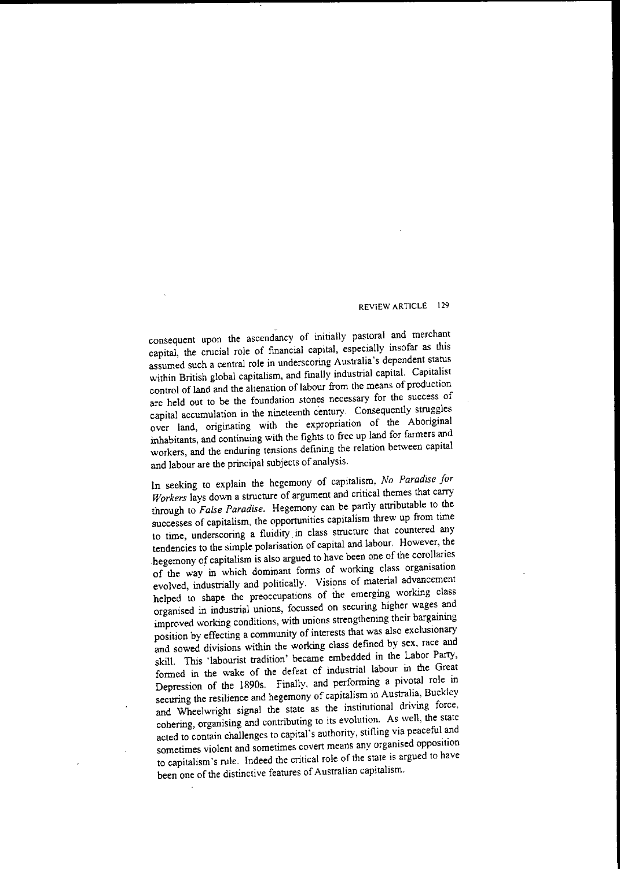consequent upon the ascendancy of initially pastoral and merchant capital, the crucial role of fmancial capital, especially insofar as this assumed such a central role in underscoring Australia's dependent status within British global capitalism, and fmally industrial capital. Capitalist control of land and the alienation of labour from the means of production **are held out to be the foundation stones necessary for the success of** capital accumulation in the nineteenth century. Consequently struggles over land, originating with the expropriation of the Aboriginal inhabitants, and continuing with the fights to free up land for farmers and **workers, and the enduring tensions defining the relation between capital** and labour are the principal subjects of analysis.

In seeking to explain the hegemony of capitalism, *No Paradise Jar Workers* lays down a structure of argument and critical themes that carry through to *False Paradise.* Hegemony can be partly attributable to the successes of capitalism, the opportunities capitalism threw up from time to time, underscoring a fluidity. in class structure that countered any tendencies to the simple polarisation of capital and labour. However, the hegemony of capitalism is also argued to have been one of the corollaries of the way in which dominant forms of working class organisation evolved, industrially and politically. Visions of material advancement helped to shape the preoccupations of the emerging working class organised in industrial unions, focussed on securing higher wages and improved working conditions, with unions strengthening their bargaining position by effecting a community of interests that was also exclusionary and sowed divisions within the working class defined by sex, race and skill. This 'labourist tradition' became embedded in the Labor Parry, formed in the wake of the defeat of industrial labour in the Great Depression of the 1890s. Finally, and performing a pivotal role in securing the resilience and hegemony of capitalism in Australia, Buckley and Wheelwright signal the state as the institutional driving force. cohering, organising and contributing to its evolution. As well, the state acted to contain challenges to capital's authority, stifling via peaceful and **sometimes violent and sometimes covert means any organised opposition** to capitalism's rule. Indeed the critical role of the state is argued to have been one of the distinctive features of Australian capitalism.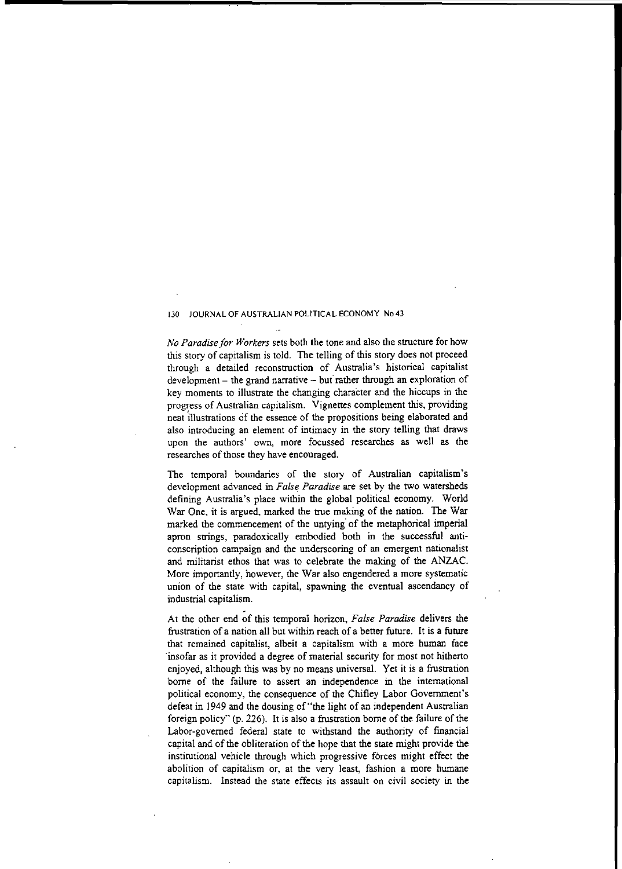*No Paradise for Workers* sets both the tone and also the structure for how this *story* of capitalism is told. The telling of this *story* does not proceed through a detailed reconstruction of Australia's historical capitalist  $development - the grand narrative - but rather through an exploration of$ key moments to illustrate the changing character and the hiccups in the progress of Australian capitalism. Vignettes complement this, providing neat illustrations of the essence of the propositions being elaborated and also introducing an element of intimacy in the *story* telling that draws **upon the authors' own, more focussed researches as well as the** researches of those they have encouraged.

The temporal boundaries of the *story* of Australian capitalism's development advanced in *False Paradise* are set by the two watersheds defining Australia's place within the global political economy. World War One, it is argued, marked the true making of the nation. The War marked the commencement of the untying of the metaphorical imperial apron strings, paradoxically embodied both in the successful anticonscription campaign and the underscoring of an emergent nationalist and militarist ethos that was to celebrate the making of the ANZAC. More importantly, however, the War also engendered a more systematic union of the state with capital, spawning the eventual ascendancy of industrial capitalism.

At the other end of this temporal horizon, *False Paradise* delivers the frustration of a nation all but within reach of a better future. It is a future that remained capitalist, albeit a capitalism with a more human face ·insofar as it provided a degree of material security for most not hitherto enjoyed, although this was by no means universal. Yet it is a frustration borne of the failure to assert an independence in the international political economy, the consequence of the Chifley Labor Government's defeat in 1949 and the dousing of "the light of an independent Australian foreign policy" (p. 226). It is also a frustration borne of the failure of the Labor-govemed federal state to withstand the authority of financial capital and of the obliteration of the hope that the state might provide the institutional vehicle through which progressive forces might effect the **abolition of capitalism or, at the very least, fashion a more humane capitalism. Instead the state effects its assault on civil society in the**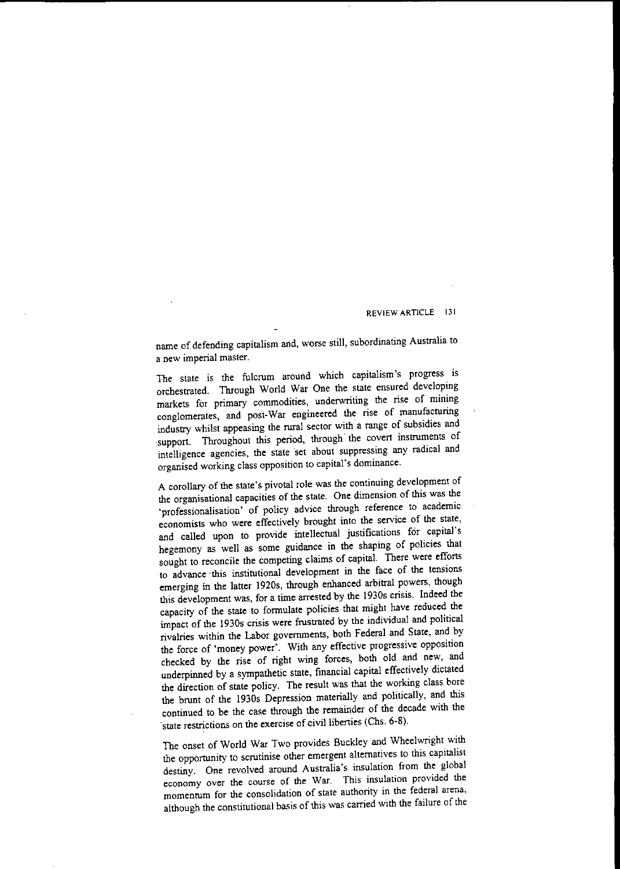name of defending capitalism and, worse still, subordinating Australia to **a new imperial master.**

The state is the fulcrum around which capitalism's progress is orchestrated. Through World War One the state ensured developing markets for primary commodities, underwriting the rise of mining conglomerates, and post-War engineered the rise of manufacturing industry whilst appeasing the rural sector with a range of subsidies and support. Throughout this period, through the covert instruments of intelligence agencies, the state 'set about suppressing any radical and organised working class opposition to capital's dominance.

A corollary of the state's pivotal role was the continuing development of the organisational capacities of the state. One dimension of this was the 'professionalisation' of policy advice through reference to academic economists who were effectively brought into the service of the state, and called upon to provide intellectual justifications for capital's hegemony as well as some guidance in the shaping of policies that sought to reconcile the competing claims of capital. There were efforts to advance ·this institutional development in the face of the tensions emerging in the latter 1920s, through enhanced arbitral powers, though this development was, for a time arrested by the 1930s crisis. Indeed the eapacity of the state to formulate policies that might have reduced the impact of the 1930s crisis were frustrated by the individual and political rivalries within the Labor governments, both Federal and State, and by the force of 'money power'. With any effective progressive opposition checked by the rise of right wing forces, both old and new, and underpinned by a sympathetic state, fmancial capital effectively dictated the direction of state policy. The result was that the working class bore the brunt of the 1930s Depression materially and politically, and this continued to be the case through the remainder of the decade with the state restrictions on the exercise of civil liberties (Chs. 6-8).

The onset of World War Two provides Buckley and Wheelwright with the opportunity to scrutinise other emergent alternatives to this capitalist destiny. One revolved around Australia's insulation from the global **economy over the course of the War. This insulation provided the momentum for the consolidation of state authority in the federal arena,** although the constitutional basis of this was carried with the failure of the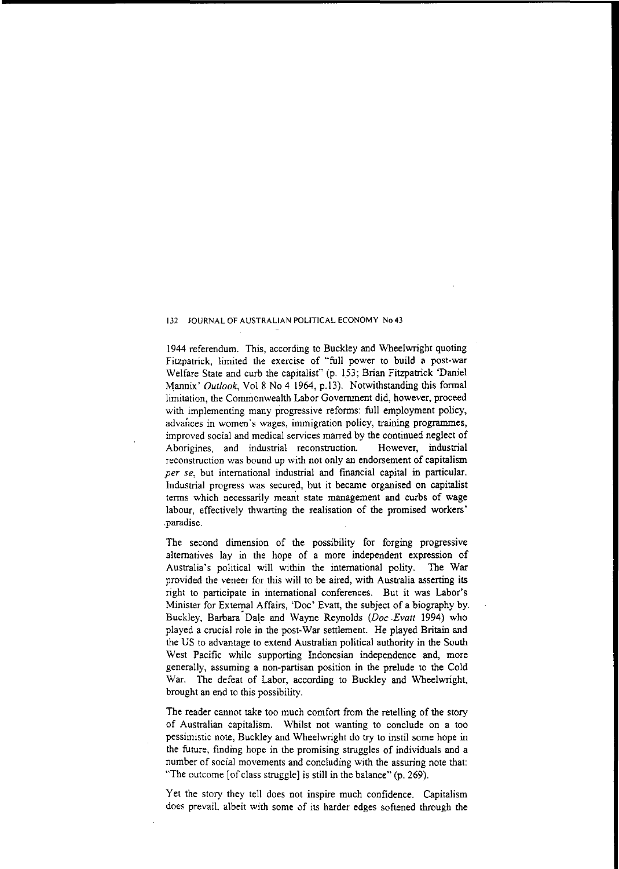1944 referendum. This, according to Buckley and Wheelwright quoting Fitzpatrick, limited the exercise of "full power to build a post-war Welfare State and curb the capitalist" (p. 153; Brian Fitzpatrick 'Daniel Mannix' *Outlook,* Vol 8 No 4 1964, p.13). Notwithstanding this formal limitation, the Commonwealth Labor Government did, however, proceed with implementing many progressive reforms: full employment policy, **advances in women'5 wages, immigration policy, training programmes,** improved social and medical services marred by the continued neglect of **Aborigines, and industrial reconstruction. However, industrial reconstruction was bound up with not only an endorsement of capitalism** *per se,* but international industrial and financial capital in particular. Industrial progress was secured, but it became organised on capitalist terms which necessarily meant state management and curbs of wage labour, effectively thwarting the realisation of the promised workers' .paradise.

The second dimension of the possibility for forging progressive alternatives lay in the hope of a more independent expression of Australia's political will within the international polity. The War provided the veneer for this will to be aired, with Australia asserting its right to participate in international conferences. But it was Labor's Minister for External Affairs, 'Doe' Evatt, the subject of a biography by. Buckley, Barbara-Dale and Wayne Reynolds *(Doc Evatt* 1994) who played a crucial role in the post-War settlement. He played Britain and the US to advantage to extend Australian political authority in the South West Pacific while supporting Indonesian independence and, more generally, assuming a non-partisan position in the prelude to the Cold War. The defeat of Labor, according to Buckley and Wheelwright, brought an end to this possibility.

The reader cannot take too much comfort from the retelling of the story of Australian capitalism. Whilst not wanting to conclude on a too pessimistic note, Buckley and Wheelwright do try to instil some hope in the future, finding hope in the promising struggles of individuals and a number of social movements and concluding with the assuring note that: "The outcome [of class struggle] is still in the balance" (p. 269).

Yet the story they tell does not inspire much confidence. Capitalism does prevail, albeit with some of its harder edges softened through the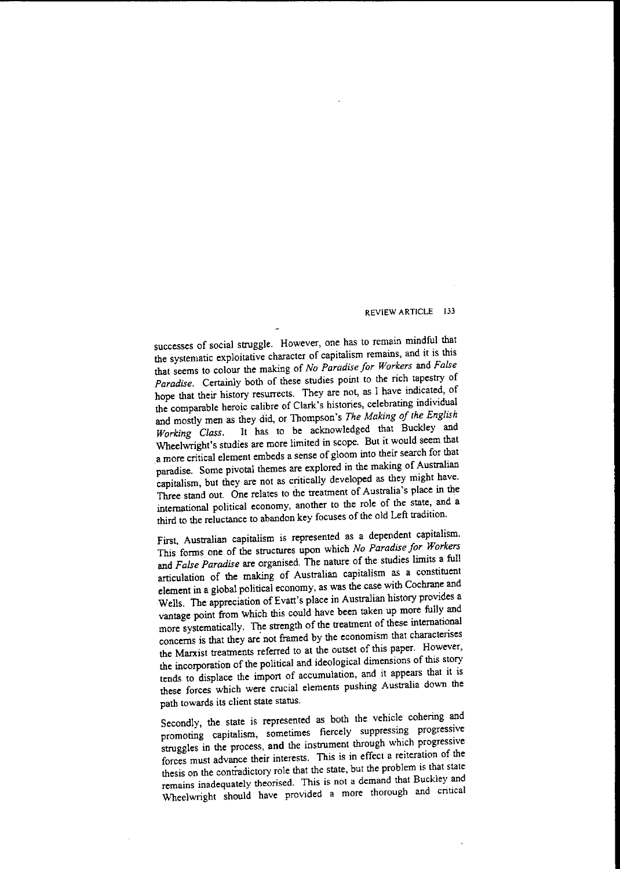successes of social struggle. However, one has to remain mindful that the systematic exploitative character of capitalism remains, and it is this that seems to colour the making of *No Paradise for Workers* and *False Paradise.* Certainly both of these studies point to the rich tapestry of hope that their history resurrects. They are not, as I have indicated, of the comparable heroic calibre of Clark's histories, celebrating individual and mostly men as they did, or Thompson's The Making of the English *Working Class.* It has to be acknowledged that Buckley and Wheelwright's studies are more limited in scope. But it would seem that a more critical element embeds a sense of gloom into their search for that paradise. Some pivotal themes are explored in the making of Australian capitalism, but they are not as critically developed as they might have. Three stand out. One relates to the treatment of Australia's place in the international political economy, another to the role of the state, and a third to the reluctance to abandon key focuses of the old Left tradition.

First, Australian capitalism is represented as a dependent capitalism. This forms one of the structures upon which *No Paradise for Workers* and *False Paradise* are organised. The nature of the studies limits a full articulation of the making of Australian capitalism as a constituent element in a global political economy, as was the case with Cochrane and Wells. The appreciation of Evatt's place in Australian history provides a vantage point from which this could have been taken up more fully and more systematically. The strength of the treatment of these international concerns is that they are not framed by the economism that characterises the Marxist treatments referred to at the outset of this paper. However, the incorporation of the political and ideological dimensions of this story tends to displace the import of accumulation, and it appears thal it is these forces which were crucial elements pushing Australia down the **path towards its client state status.**

Secondly, the state is represented as both the vehicle cohering and promoting capitalism, sometimes fiercely suppressing progressive struggles in the process, and the instrument through which progressive **forces must advance their interests. This is in effect a reiteration of the** thesis on the contradictory role that the state, but the problem is that state **remains inadequately theorised. This is not a demand that Buckley and** Wheelwright should have provided a more thorough and critical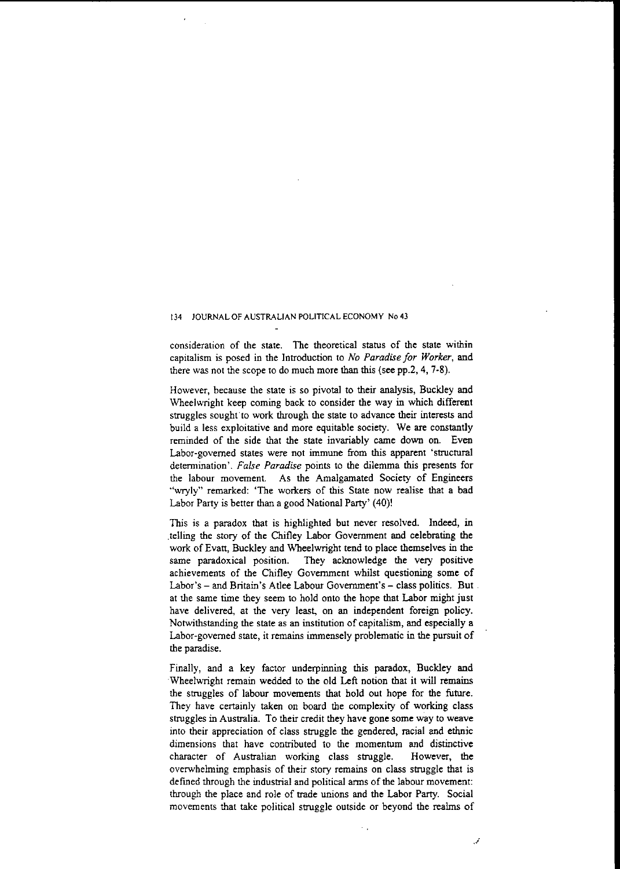**consideration of the state. The theoretical status of the state within** capitalism is posed in the Introduction to *No Paradise for Worker,* and there was not the scope to do much more than this (see pp.2, 4, 7-8).

However, because the state is so pivotal to their analysis, Buckley and Wheelwright keep coming back to consider the way in which different struggles sought to work through the state to advance their interests and build a less exploitative and more equitable society. We are constantly reminded of the side that the state invariably came down on. Even Labor-govemed states were not immune from this apparent 'structural determination'. *False Paradise* points to the dilemma this presents for the labour movement. As the Amalgamated Society of Engineers "wryly" remarked: 'The workers of this State now realise that a bad Labor Party is better than a good National Party' (40)!

This is a paradox that is highlighted but never resolved. Indeed, in .telling the story of the Chifley Labor Government and celebrating the work of Evatt, Buckley and Wheelwright tend to place themselves in the same paradoxical position. They acknowledge the very positive achievements of the Chifley Government whilst questioning some of Labor's - and Britain's Atlee Labour Government's - class politics. But. at the same time they seem to hold onto the hope that Labor might just have delivered, at the very least, on an independent foreign policy. Notwithstanding the state as an institution of capitalism, and especially a Labor-govemed state, it remains immensely problematic in the pursuit of the paradise.

Finally, and a key factor underpinning this paradox, Buckley and Wheelwright remain wedded to the old Left notion that it will remains the struggles of labour movements that hold out hope for the future. They have certainly taken on board the complexity of working class struggles in Australia. To their credit they have gone some way to weave into their appreciation of class struggle the gendered, racial and ethnic dimensions that have contributed to the momentum and distinctive character of Australian working class struggle. However, the overwhelming emphasis of their story remains on class struggle that is defined through the industrial and political arms of the labour movement: through the place and role of trade unions and the Labor Party. Social movements that take political struggle outside or beyond the realms of